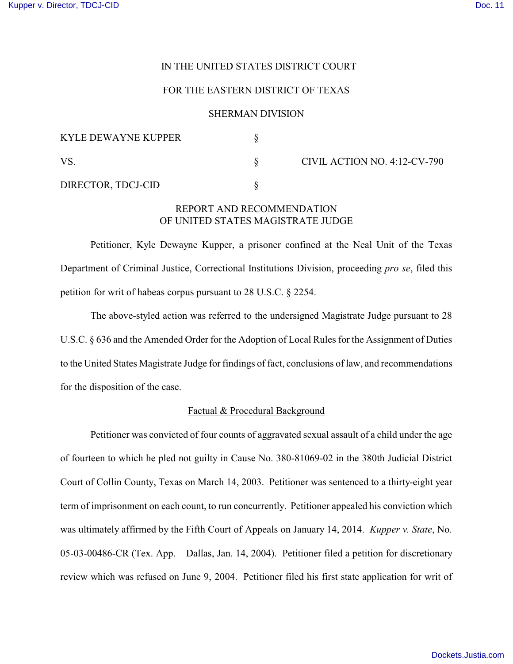## IN THE UNITED STATES DISTRICT COURT

## FOR THE EASTERN DISTRICT OF TEXAS

### SHERMAN DIVISION

| <b>KYLE DEWAYNE KUPPER</b> |                              |
|----------------------------|------------------------------|
| <b>VS</b>                  | CIVIL ACTION NO. 4:12-CV-790 |
| DIRECTOR, TDCJ-CID         |                              |

# REPORT AND RECOMMENDATION OF UNITED STATES MAGISTRATE JUDGE

Petitioner, Kyle Dewayne Kupper, a prisoner confined at the Neal Unit of the Texas Department of Criminal Justice, Correctional Institutions Division, proceeding *pro se*, filed this petition for writ of habeas corpus pursuant to 28 U.S.C. § 2254.

The above-styled action was referred to the undersigned Magistrate Judge pursuant to 28 U.S.C. § 636 and the Amended Order for the Adoption of Local Rules for the Assignment of Duties to the United States Magistrate Judge for findings of fact, conclusions of law, and recommendations for the disposition of the case.

## Factual & Procedural Background

Petitioner was convicted of four counts of aggravated sexual assault of a child under the age of fourteen to which he pled not guilty in Cause No. 380-81069-02 in the 380th Judicial District Court of Collin County, Texas on March 14, 2003. Petitioner was sentenced to a thirty-eight year term of imprisonment on each count, to run concurrently. Petitioner appealed his conviction which was ultimately affirmed by the Fifth Court of Appeals on January 14, 2014. *Kupper v. State*, No. 05-03-00486-CR (Tex. App. – Dallas, Jan. 14, 2004). Petitioner filed a petition for discretionary review which was refused on June 9, 2004. Petitioner filed his first state application for writ of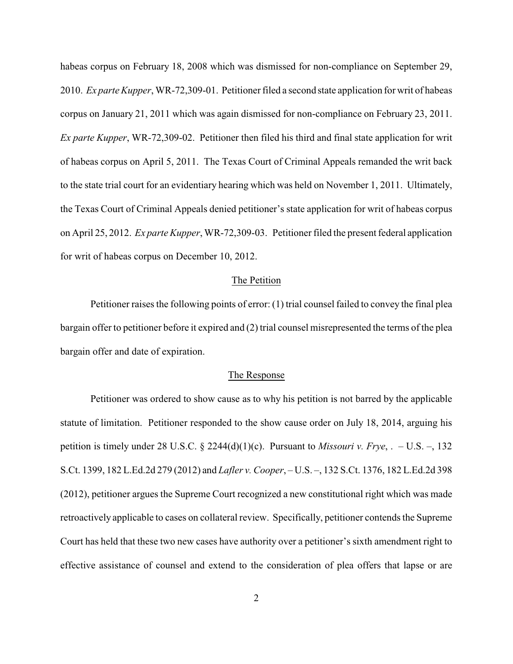habeas corpus on February 18, 2008 which was dismissed for non-compliance on September 29, 2010. *Ex parte Kupper*, WR-72,309-01. Petitioner filed a second state application for writ of habeas corpus on January 21, 2011 which was again dismissed for non-compliance on February 23, 2011. *Ex parte Kupper*, WR-72,309-02. Petitioner then filed his third and final state application for writ of habeas corpus on April 5, 2011. The Texas Court of Criminal Appeals remanded the writ back to the state trial court for an evidentiary hearing which was held on November 1, 2011. Ultimately, the Texas Court of Criminal Appeals denied petitioner's state application for writ of habeas corpus on April 25, 2012. *Ex parte Kupper*, WR-72,309-03. Petitioner filed the present federal application for writ of habeas corpus on December 10, 2012.

#### The Petition

Petitioner raises the following points of error: (1) trial counsel failed to convey the final plea bargain offer to petitioner before it expired and (2) trial counsel misrepresented the terms of the plea bargain offer and date of expiration.

#### The Response

Petitioner was ordered to show cause as to why his petition is not barred by the applicable statute of limitation. Petitioner responded to the show cause order on July 18, 2014, arguing his petition is timely under 28 U.S.C. § 2244(d)(1)(c). Pursuant to *Missouri v. Frye*, . – U.S. –, 132 S.Ct. 1399, 182 L.Ed.2d 279 (2012) and *Lafler v. Cooper*, – U.S. –, 132 S.Ct. 1376, 182 L.Ed.2d 398 (2012), petitioner argues the Supreme Court recognized a new constitutional right which was made retroactively applicable to cases on collateral review. Specifically, petitioner contends the Supreme Court has held that these two new cases have authority over a petitioner's sixth amendment right to effective assistance of counsel and extend to the consideration of plea offers that lapse or are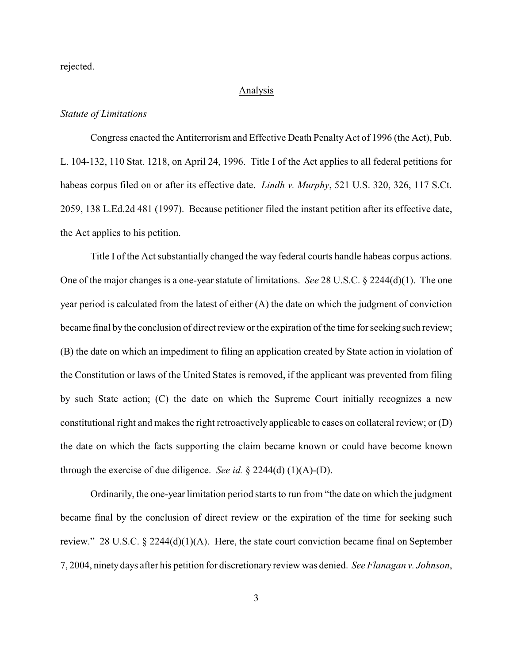rejected.

#### Analysis

### *Statute of Limitations*

Congress enacted the Antiterrorism and Effective Death Penalty Act of 1996 (the Act), Pub. L. 104-132, 110 Stat. 1218, on April 24, 1996. Title I of the Act applies to all federal petitions for habeas corpus filed on or after its effective date. *Lindh v. Murphy*, 521 U.S. 320, 326, 117 S.Ct. 2059, 138 L.Ed.2d 481 (1997). Because petitioner filed the instant petition after its effective date, the Act applies to his petition.

Title I of the Act substantially changed the way federal courts handle habeas corpus actions. One of the major changes is a one-year statute of limitations. *See* 28 U.S.C. § 2244(d)(1). The one year period is calculated from the latest of either (A) the date on which the judgment of conviction became final by the conclusion of direct review or the expiration of the time for seeking such review; (B) the date on which an impediment to filing an application created by State action in violation of the Constitution or laws of the United States is removed, if the applicant was prevented from filing by such State action; (C) the date on which the Supreme Court initially recognizes a new constitutional right and makes the right retroactively applicable to cases on collateral review; or (D) the date on which the facts supporting the claim became known or could have become known through the exercise of due diligence. *See id.* § 2244(d) (1)(A)-(D).

Ordinarily, the one-year limitation period starts to run from "the date on which the judgment became final by the conclusion of direct review or the expiration of the time for seeking such review." 28 U.S.C. § 2244(d)(1)(A). Here, the state court conviction became final on September 7, 2004, ninety days after his petition for discretionary review was denied. *See Flanagan v. Johnson*,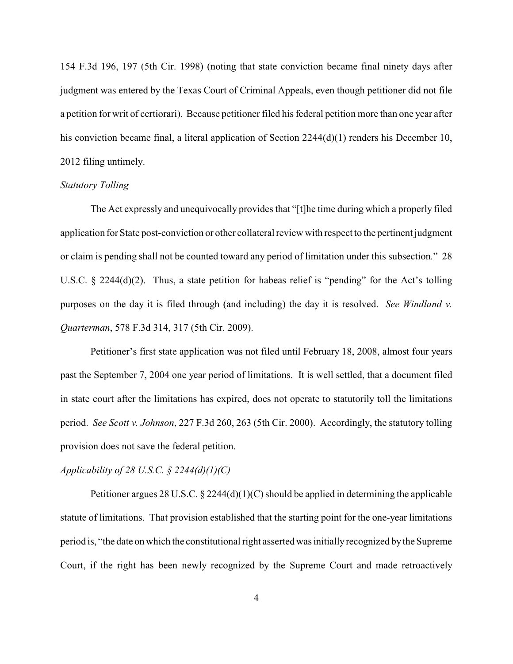154 F.3d 196, 197 (5th Cir. 1998) (noting that state conviction became final ninety days after judgment was entered by the Texas Court of Criminal Appeals, even though petitioner did not file a petition for writ of certiorari). Because petitioner filed his federal petition more than one year after his conviction became final, a literal application of Section 2244(d)(1) renders his December 10, 2012 filing untimely.

### *Statutory Tolling*

The Act expressly and unequivocally provides that "[t]he time during which a properly filed application for State post-conviction or other collateral review with respect to the pertinent judgment or claim is pending shall not be counted toward any period of limitation under this subsection*.*" 28 U.S.C. § 2244(d)(2). Thus, a state petition for habeas relief is "pending" for the Act's tolling purposes on the day it is filed through (and including) the day it is resolved. *See Windland v. Quarterman*, 578 F.3d 314, 317 (5th Cir. 2009).

Petitioner's first state application was not filed until February 18, 2008, almost four years past the September 7, 2004 one year period of limitations. It is well settled, that a document filed in state court after the limitations has expired, does not operate to statutorily toll the limitations period. *See Scott v. Johnson*, 227 F.3d 260, 263 (5th Cir. 2000). Accordingly, the statutory tolling provision does not save the federal petition.

# *Applicability of 28 U.S.C. § 2244(d)(1)(C)*

Petitioner argues 28 U.S.C. § 2244(d)(1)(C) should be applied in determining the applicable statute of limitations. That provision established that the starting point for the one-year limitations period is, "the date on which the constitutional right asserted was initially recognized by the Supreme Court, if the right has been newly recognized by the Supreme Court and made retroactively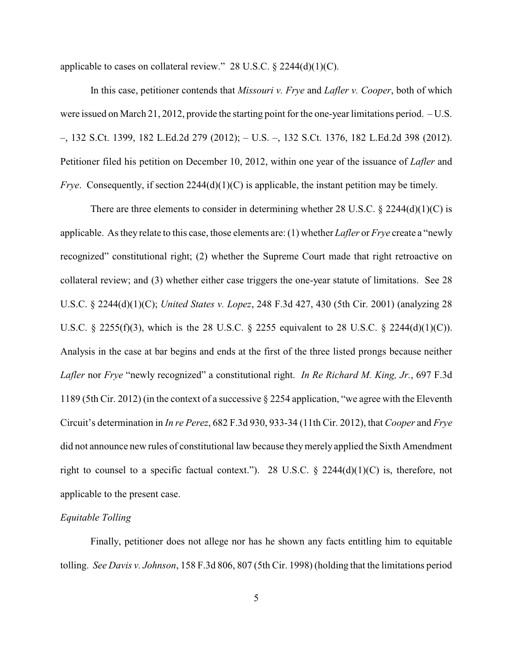applicable to cases on collateral review." 28 U.S.C.  $\S$  2244(d)(1)(C).

In this case, petitioner contends that *Missouri v. Frye* and *Lafler v. Cooper*, both of which were issued on March 21, 2012, provide the starting point for the one-year limitations period. – U.S. –, 132 S.Ct. 1399, 182 L.Ed.2d 279 (2012); – U.S. –, 132 S.Ct. 1376, 182 L.Ed.2d 398 (2012). Petitioner filed his petition on December 10, 2012, within one year of the issuance of *Lafler* and *Frye.* Consequently, if section 2244(d)(1)(C) is applicable, the instant petition may be timely.

There are three elements to consider in determining whether 28 U.S.C.  $\S$  2244(d)(1)(C) is applicable. As they relate to this case, those elements are: (1) whether *Lafler* or *Frye* create a "newly recognized" constitutional right; (2) whether the Supreme Court made that right retroactive on collateral review; and (3) whether either case triggers the one-year statute of limitations. See 28 U.S.C. § 2244(d)(1)(C); *United States v. Lopez*, 248 F.3d 427, 430 (5th Cir. 2001) (analyzing 28 U.S.C. § 2255(f)(3), which is the 28 U.S.C. § 2255 equivalent to 28 U.S.C. § 2244(d)(1)(C)). Analysis in the case at bar begins and ends at the first of the three listed prongs because neither *Lafler* nor *Frye* "newly recognized" a constitutional right. *In Re Richard M. King, Jr.*, 697 F.3d 1189 (5th Cir. 2012) (in the context of a successive § 2254 application, "we agree with the Eleventh Circuit's determination in *In re Perez*, 682 F.3d 930, 933-34 (11th Cir. 2012), that *Cooper* and *Frye* did not announce new rules of constitutional law because they merely applied the Sixth Amendment right to counsel to a specific factual context."). 28 U.S.C.  $\S$  2244(d)(1)(C) is, therefore, not applicable to the present case.

## *Equitable Tolling*

Finally, petitioner does not allege nor has he shown any facts entitling him to equitable tolling. *See Davis v. Johnson*, 158 F.3d 806, 807 (5th Cir. 1998) (holding that the limitations period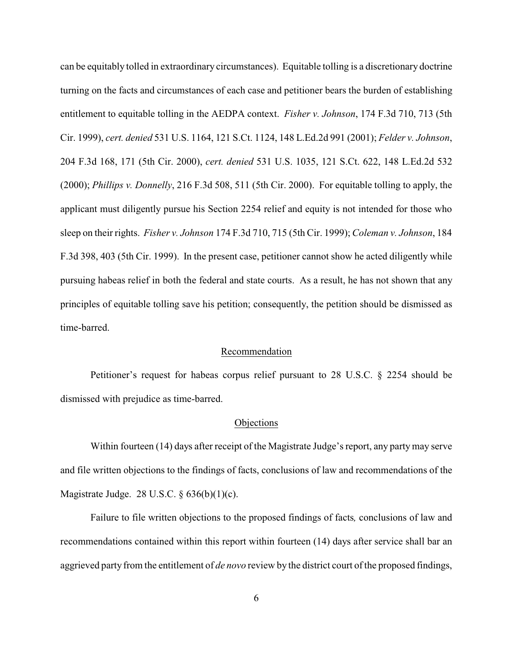can be equitably tolled in extraordinary circumstances). Equitable tolling is a discretionary doctrine turning on the facts and circumstances of each case and petitioner bears the burden of establishing entitlement to equitable tolling in the AEDPA context. *Fisher v. Johnson*, 174 F.3d 710, 713 (5th Cir. 1999), *cert. denied* 531 U.S. 1164, 121 S.Ct. 1124, 148 L.Ed.2d 991 (2001); *Felder v. Johnson*, 204 F.3d 168, 171 (5th Cir. 2000), *cert. denied* 531 U.S. 1035, 121 S.Ct. 622, 148 L.Ed.2d 532 (2000); *Phillips v. Donnelly*, 216 F.3d 508, 511 (5th Cir. 2000). For equitable tolling to apply, the applicant must diligently pursue his Section 2254 relief and equity is not intended for those who sleep on their rights. *Fisher v. Johnson* 174 F.3d 710, 715 (5th Cir. 1999); *Coleman v. Johnson*, 184 F.3d 398, 403 (5th Cir. 1999). In the present case, petitioner cannot show he acted diligently while pursuing habeas relief in both the federal and state courts. As a result, he has not shown that any principles of equitable tolling save his petition; consequently, the petition should be dismissed as time-barred.

#### Recommendation

Petitioner's request for habeas corpus relief pursuant to 28 U.S.C. § 2254 should be dismissed with prejudice as time-barred.

#### **Objections**

Within fourteen (14) days after receipt of the Magistrate Judge's report, any party may serve and file written objections to the findings of facts, conclusions of law and recommendations of the Magistrate Judge. 28 U.S.C. § 636(b)(1)(c).

Failure to file written objections to the proposed findings of facts*,* conclusions of law and recommendations contained within this report within fourteen (14) days after service shall bar an aggrieved party from the entitlement of *de novo* review by the district court of the proposed findings,